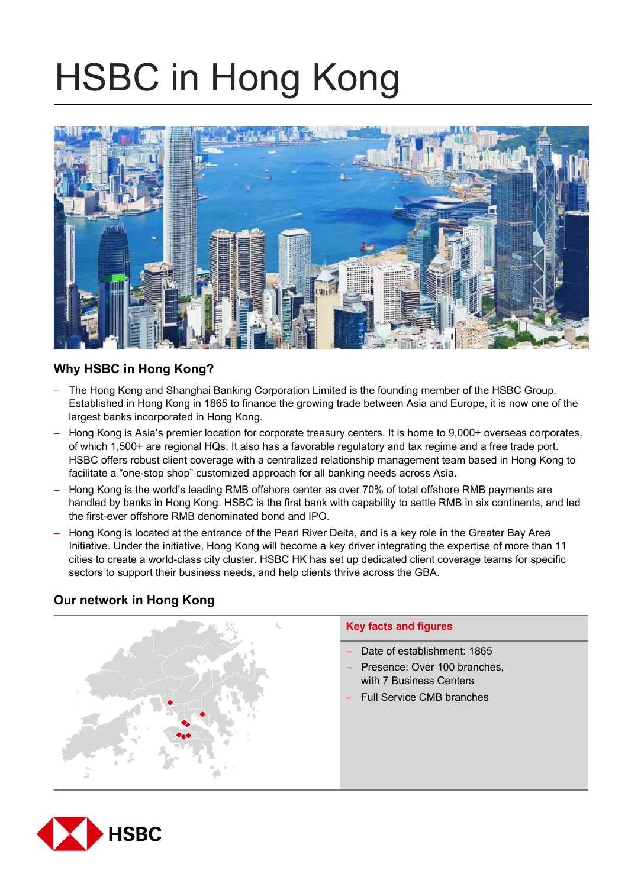# HSBC in Hong Kong



# **Why HSBC in Hong Kong?**

- The Hong Kong and Shanghai Banking Corporation Limited is the founding member of the HSBC Group. Established in Hong Kong in 1865 to finance the growing trade between Asia and Europe, it is now one of the largest banks incorporated in Hong Kong.
- Hong Kong is Asia's premier location for corporate treasury centers. It is home to 9,000+ overseas corporates, of which 1,500+ are regional HQs. It also has a favorable regulatory and tax regime and a free trade port. HSBC offers robust client coverage with a centralized relationship management team based in Hong Kong to facilitate a "one-stop shop" customized approach for all banking needs across Asia.
- Hong Kong is the world's leading RMB offshore center as over 70% of total offshore RMB payments are handled by banks in Hong Kong. HSBC is the first bank with capability to settle RMB in six continents, and led the first-ever offshore RMB denominated bond and IPO.
- Hong Kong is located at the entrance of the Pearl River Delta, and is a key role in the Greater Bay Area Initiative. Under the initiative, Hong Kong will become a key driver integrating the expertise of more than 11 cities to create a world-class city cluster. HSBC HK has set up dedicated client coverage teams for specific sectors to support their business needs, and help clients thrive across the GBA.

# **Our network in Hong Kong**